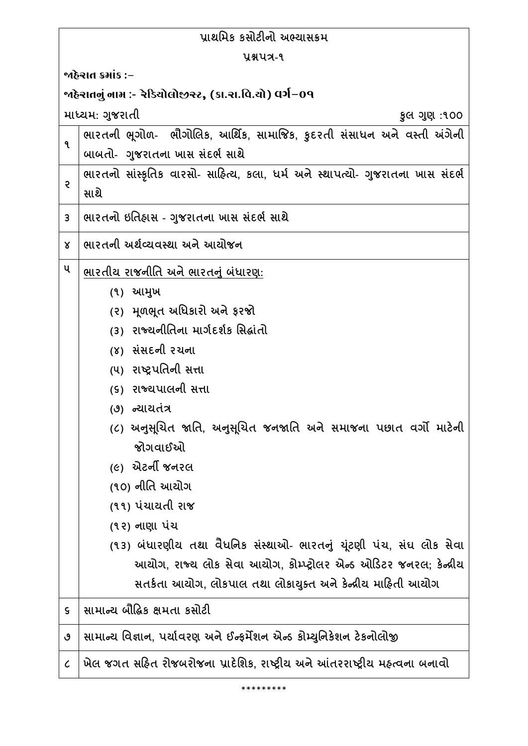| પ્રાથમિક કસોટીનો અભ્યાસક્રમ                              |                                                                                |  |
|----------------------------------------------------------|--------------------------------------------------------------------------------|--|
| પ્રશ્નપત્ર-૧                                             |                                                                                |  |
| જાહેરાત ક્રમાંક :−                                       |                                                                                |  |
| ર્જાહેરાતનું નામ :- રેડિયોલોજીસ્ટ, (કા.રા.વિ.યો) વર્ગ−09 |                                                                                |  |
|                                                          | માધ્યમ: ગુજરાતી<br>કુલ ગુણ :૧૦૦                                                |  |
| ٩                                                        | ભારતની ભૂગોળ- ભૌગોલિક, આર્થિક, સામાજિક, કુદરતી સંસાધન અને વસ્તી અંગેની         |  |
|                                                          | બાબતો- ગુજરાતના ખાસ સંદર્ભ સાથે                                                |  |
| ę                                                        | ભારતનો સાંસ્કૃતિક વારસો- સાહિત્ય, કલા, ધર્મ અને સ્થાપત્યો- ગુજરાતના ખાસ સંદર્ભ |  |
|                                                          | સાથે                                                                           |  |
| 3                                                        | ભારતનો ઇતિહ્રાસ - ગુજરાતના ખાસ સંદર્ભ સાથે                                     |  |
| Χ                                                        | ભારતની અર્થવ્યવસ્થા અને આયોજન                                                  |  |
| ૫                                                        | ભારતીય રાજનીતિ અને ભારતનું બંધારણ:                                             |  |
|                                                          | (૧) આમુખ                                                                       |  |
|                                                          | (૨) મૂળભૂત અધિકારો અને ફરજો                                                    |  |
|                                                          | (3) રાજ્યનીતિના માર્ગદર્શક સિદ્ધાંતો                                           |  |
|                                                          | (૪) સંસદની રચના                                                                |  |
|                                                          | (૫) રાષ્ટ્રપતિની સત્તા                                                         |  |
|                                                          | (૬) રાજ્યપાલની સત્તા                                                           |  |
|                                                          | (૭) ન્યાયતંત્ર                                                                 |  |
|                                                          | (૮) અનુસૂચિત જાતિ, અનુસૂચિત જનજાતિ અને સમાજના પછાત વર્ગો માટેની                |  |
|                                                          | જોગવાઈઓ                                                                        |  |
|                                                          | <i>(૯)</i> એટર્ની જનરલ                                                         |  |
|                                                          | (૧૦) નીતિ આચોગ                                                                 |  |
|                                                          | (૧૧) પંચાયતી રાજ                                                               |  |
|                                                          | (૧૨) નાણા પંચ                                                                  |  |
|                                                          | (૧૩) બંધારણીય તથા વૈધનિક સંસ્થાઓ- ભારતનું યૂંટણી પંચ, સંઘ લોક સેવા             |  |
|                                                          | આયોગ, રાજ્ય લોક સેવા આયોગ, કોમ્પ્ટ્રોલર એન્ડ ઓડિટર જનરલ; કેન્દ્રીય             |  |
|                                                          | સતર્કતા આયોગ, લોકપાલ તથા લોકાયુક્ત અને કેન્દ્રીય માહિતી આયોગ                   |  |
| $\mathsf S$                                              | સામાન્ય બૌદ્ધિક ક્ષમતા કસોટી                                                   |  |
| ৩                                                        | સામાન્ય વિજ્ઞાન, પર્યાવરણ અને ઈન્ફર્મેશન એન્ડ કોમ્યુનિકેશન ટેકનોલોજી           |  |
| $\pmb{\mathcal{C}}$                                      | ખેલ જગત સહિત રોજબરોજના પ્રાદેશિક, રાષ્ટ્રીય અને આંતરરાષ્ટ્રીય મહ્ત્વના બનાવો   |  |
|                                                          |                                                                                |  |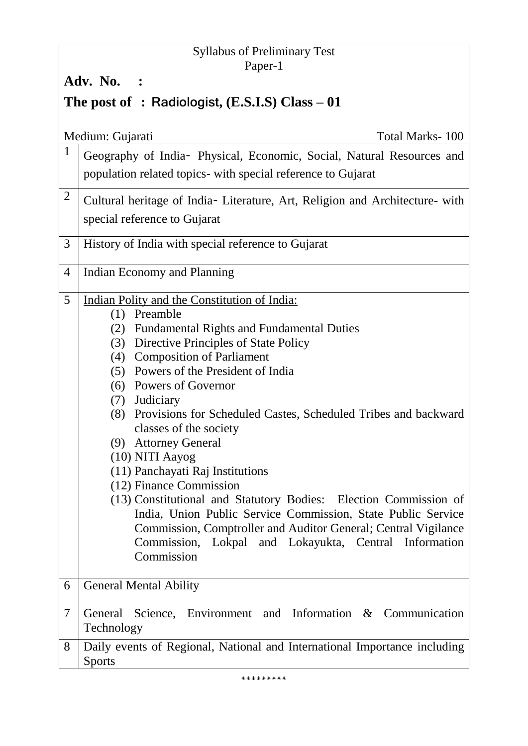# Syllabus of Preliminary Test Paper-1

**Adv. No. :** 

# **The post of : Radiologist, (E.S.I.S) Class – 01**

|                | Medium: Gujarati<br>Total Marks-100                                          |  |
|----------------|------------------------------------------------------------------------------|--|
| $\mathbf{1}$   | Geography of India- Physical, Economic, Social, Natural Resources and        |  |
|                | population related topics- with special reference to Gujarat                 |  |
| $\overline{2}$ | Cultural heritage of India- Literature, Art, Religion and Architecture- with |  |
|                | special reference to Gujarat                                                 |  |
|                |                                                                              |  |
| 3              | History of India with special reference to Gujarat                           |  |
| 4              | Indian Economy and Planning                                                  |  |
|                |                                                                              |  |
| 5              | Indian Polity and the Constitution of India:<br>(1) Preamble                 |  |
|                | (2) Fundamental Rights and Fundamental Duties                                |  |
|                | (3) Directive Principles of State Policy                                     |  |
|                | (4) Composition of Parliament                                                |  |
|                | (5) Powers of the President of India                                         |  |
|                | (6) Powers of Governor                                                       |  |
|                | (7) Judiciary                                                                |  |
|                | (8) Provisions for Scheduled Castes, Scheduled Tribes and backward           |  |
|                | classes of the society                                                       |  |
|                | (9) Attorney General                                                         |  |
|                | (10) NITI Aayog                                                              |  |
|                | (11) Panchayati Raj Institutions                                             |  |
|                | (12) Finance Commission                                                      |  |
|                | (13) Constitutional and Statutory Bodies: Election Commission of             |  |
|                | India, Union Public Service Commission, State Public Service                 |  |
|                | Commission, Comptroller and Auditor General; Central Vigilance               |  |
|                | Commission, Lokpal and Lokayukta, Central Information                        |  |
|                | Commission                                                                   |  |
| 6              | <b>General Mental Ability</b>                                                |  |
|                |                                                                              |  |
| $\overline{7}$ | General Science, Environment and Information & Communication<br>Technology   |  |
| 8              | Daily events of Regional, National and International Importance including    |  |
|                | <b>Sports</b>                                                                |  |
|                |                                                                              |  |

\*\*\*\*\*\*\*\*\*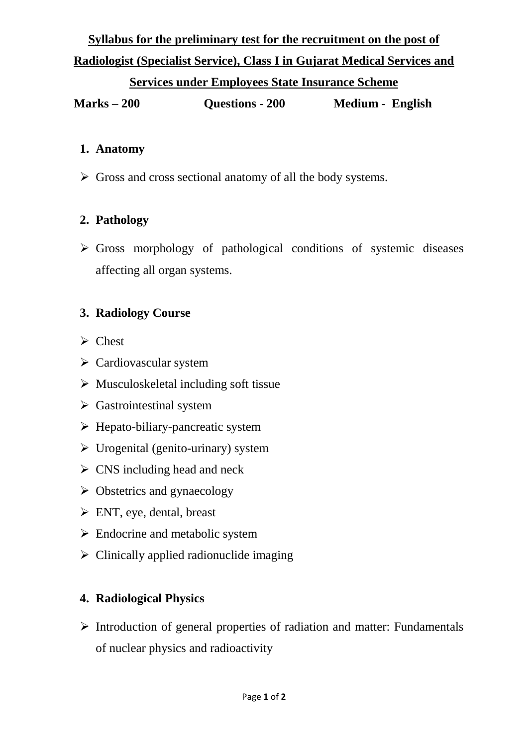# **Syllabus for the preliminary test for the recruitment on the post of Radiologist (Specialist Service), Class I in Gujarat Medical Services and**

### **Services under Employees State Insurance Scheme**

**Marks – 200 Questions - 200 Medium - English**

#### **1. Anatomy**

 $\triangleright$  Gross and cross sectional anatomy of all the body systems.

# **2. Pathology**

 $\triangleright$  Gross morphology of pathological conditions of systemic diseases affecting all organ systems.

### **3. Radiology Course**

- $\triangleright$  Chest
- $\triangleright$  Cardiovascular system
- $\triangleright$  Musculoskeletal including soft tissue
- Gastrointestinal system
- $\triangleright$  Hepato-biliary-pancreatic system
- $\triangleright$  Urogenital (genito-urinary) system
- $\triangleright$  CNS including head and neck
- $\triangleright$  Obstetrics and gynaecology
- $\triangleright$  ENT, eye, dental, breast
- > Endocrine and metabolic system
- $\triangleright$  Clinically applied radionuclide imaging

# **4. Radiological Physics**

 $\triangleright$  Introduction of general properties of radiation and matter: Fundamentals of nuclear physics and radioactivity